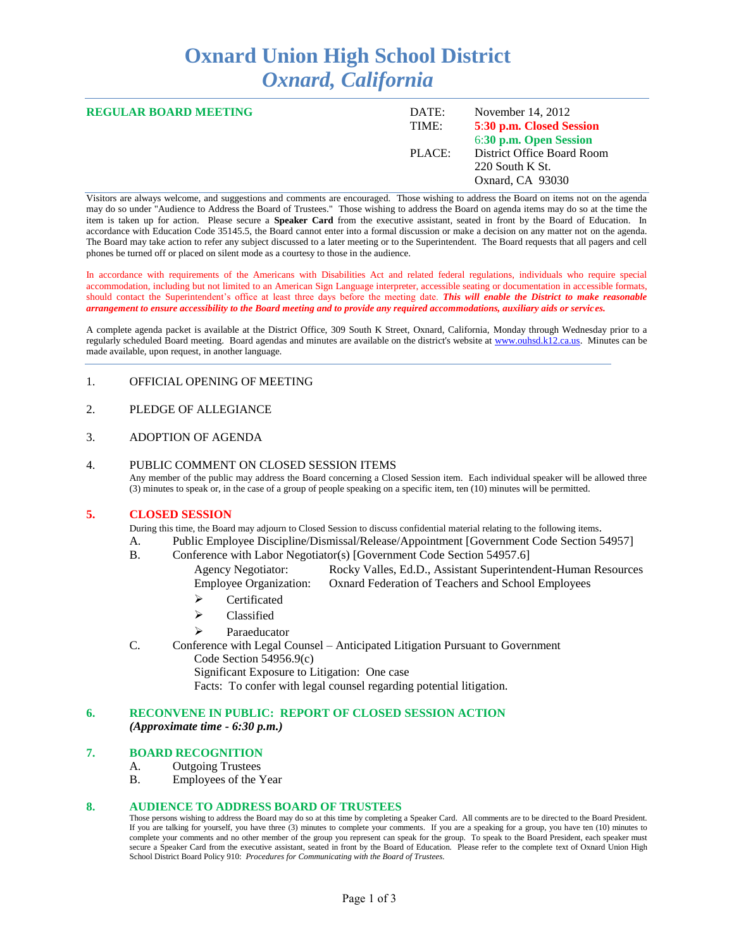# **Oxnard Union High School District** *Oxnard, California*

| <b>REGULAR BOARD MEETING</b> | DATE:<br>TIME: | November $14, 2012$<br>5:30 p.m. Closed Session<br>6:30 p.m. Open Session |
|------------------------------|----------------|---------------------------------------------------------------------------|
|                              | PLACE:         | District Office Board Room<br>220 South K St.<br>Oxnard, CA 93030         |

Visitors are always welcome, and suggestions and comments are encouraged. Those wishing to address the Board on items not on the agenda may do so under "Audience to Address the Board of Trustees." Those wishing to address the Board on agenda items may do so at the time the item is taken up for action. Please secure a **Speaker Card** from the executive assistant, seated in front by the Board of Education. In accordance with Education Code 35145.5, the Board cannot enter into a formal discussion or make a decision on any matter not on the agenda. The Board may take action to refer any subject discussed to a later meeting or to the Superintendent. The Board requests that all pagers and cell phones be turned off or placed on silent mode as a courtesy to those in the audience.

In accordance with requirements of the Americans with Disabilities Act and related federal regulations, individuals who require special accommodation, including but not limited to an American Sign Language interpreter, accessible seating or documentation in accessible formats, should contact the Superintendent's office at least three days before the meeting date. *This will enable the District to make reasonable arrangement to ensure accessibility to the Board meeting and to provide any required accommodations, auxiliary aids or services.* 

A complete agenda packet is available at the District Office, 309 South K Street, Oxnard, California, Monday through Wednesday prior to a regularly scheduled Board meeting. Board agendas and minutes are available on the district's website at [www.ouhsd.k12.ca.us.](http://www.ouhsd.k12.ca.us/)Minutes can be made available, upon request, in another language.

### 1. OFFICIAL OPENING OF MEETING

## 2. PLEDGE OF ALLEGIANCE

## 3. ADOPTION OF AGENDA

#### 4. PUBLIC COMMENT ON CLOSED SESSION ITEMS

Any member of the public may address the Board concerning a Closed Session item. Each individual speaker will be allowed three (3) minutes to speak or, in the case of a group of people speaking on a specific item, ten (10) minutes will be permitted.

#### **5. CLOSED SESSION**

During this time, the Board may adjourn to Closed Session to discuss confidential material relating to the following items.

- A. Public Employee Discipline/Dismissal/Release/Appointment [Government Code Section 54957]
- B. Conference with Labor Negotiator(s) [Government Code Section 54957.6]
	- Agency Negotiator: Rocky Valles, Ed.D., Assistant Superintendent-Human Resources Employee Organization: Oxnard Federation of Teachers and School Employees
	- > Certificated
	- > Classified
	- > Paraeducator
- C. Conference with Legal Counsel Anticipated Litigation Pursuant to Government Code Section 54956.9(c) Significant Exposure to Litigation: One case Facts: To confer with legal counsel regarding potential litigation.

# **6. RECONVENE IN PUBLIC: REPORT OF CLOSED SESSION ACTION**

*(Approximate time - 6:30 p.m.)*

# **7. BOARD RECOGNITION**

- A. Outgoing Trustees
- B. Employees of the Year

#### **8. AUDIENCE TO ADDRESS BOARD OF TRUSTEES**

Those persons wishing to address the Board may do so at this time by completing a Speaker Card. All comments are to be directed to the Board President. If you are talking for yourself, you have three (3) minutes to complete your comments. If you are a speaking for a group, you have ten (10) minutes to complete your comments and no other member of the group you represent can speak for the group. To speak to the Board President, each speaker must secure a Speaker Card from the executive assistant, seated in front by the Board of Education. Please refer to the complete text of Oxnard Union High School District Board Policy 910: *Procedures for Communicating with the Board of Trustees.*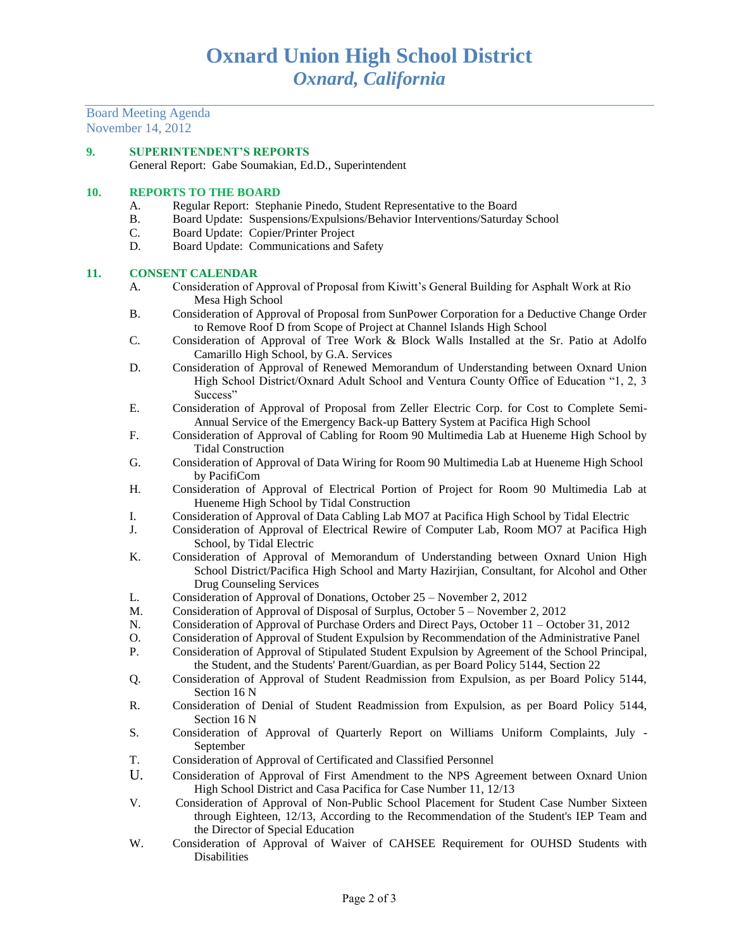Board Meeting Agenda November 14, 2012

# **9. SUPERINTENDENT'S REPORTS**

General Report: Gabe Soumakian, Ed.D., Superintendent

# **10. REPORTS TO THE BOARD**

- A. Regular Report: Stephanie Pinedo, Student Representative to the Board
- B. Board Update: Suspensions/Expulsions/Behavior Interventions/Saturday School
- C. Board Update: Copier/Printer Project
- D. Board Update: Communications and Safety

# **11. CONSENT CALENDAR**

- A. Consideration of Approval of Proposal from Kiwitt's General Building for Asphalt Work at Rio Mesa High School
- B. Consideration of Approval of Proposal from SunPower Corporation for a Deductive Change Order to Remove Roof D from Scope of Project at Channel Islands High School
- C. Consideration of Approval of Tree Work & Block Walls Installed at the Sr. Patio at Adolfo Camarillo High School, by G.A. Services
- D. Consideration of Approval of Renewed Memorandum of Understanding between Oxnard Union High School District/Oxnard Adult School and Ventura County Office of Education "1, 2, 3 Success"
- E. Consideration of Approval of Proposal from Zeller Electric Corp. for Cost to Complete Semi-Annual Service of the Emergency Back-up Battery System at Pacifica High School
- F. Consideration of Approval of Cabling for Room 90 Multimedia Lab at Hueneme High School by Tidal Construction
- G. Consideration of Approval of Data Wiring for Room 90 Multimedia Lab at Hueneme High School by PacifiCom
- H. Consideration of Approval of Electrical Portion of Project for Room 90 Multimedia Lab at Hueneme High School by Tidal Construction
- I. Consideration of Approval of Data Cabling Lab MO7 at Pacifica High School by Tidal Electric
- J. Consideration of Approval of Electrical Rewire of Computer Lab, Room MO7 at Pacifica High School, by Tidal Electric
- K. Consideration of Approval of Memorandum of Understanding between Oxnard Union High School District/Pacifica High School and Marty Hazirjian, Consultant, for Alcohol and Other Drug Counseling Services
- L. Consideration of Approval of Donations, October 25 November 2, 2012
- M. Consideration of Approval of Disposal of Surplus, October 5 November 2, 2012
- N. Consideration of Approval of Purchase Orders and Direct Pays, October 11 October 31, 2012
- O. Consideration of Approval of Student Expulsion by Recommendation of the Administrative Panel
- P. Consideration of Approval of Stipulated Student Expulsion by Agreement of the School Principal, the Student, and the Students' Parent/Guardian, as per Board Policy 5144, Section 22
- Q. Consideration of Approval of Student Readmission from Expulsion, as per Board Policy 5144, Section 16 N
- R. Consideration of Denial of Student Readmission from Expulsion, as per Board Policy 5144, Section 16 N
- S. Consideration of Approval of Quarterly Report on Williams Uniform Complaints, July September
- T. Consideration of Approval of Certificated and Classified Personnel
- U. Consideration of Approval of First Amendment to the NPS Agreement between Oxnard Union High School District and Casa Pacifica for Case Number 11, 12/13
- V. Consideration of Approval of Non-Public School Placement for Student Case Number Sixteen through Eighteen, 12/13, According to the Recommendation of the Student's IEP Team and the Director of Special Education
- W. Consideration of Approval of Waiver of CAHSEE Requirement for OUHSD Students with Disabilities